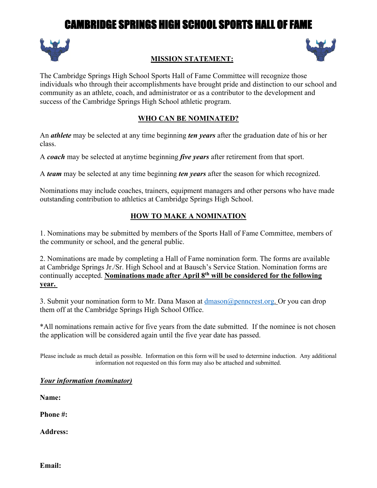# CAMBRIDGE SPRINGS HIGH SCHOOL SPORTS HALL OF FAME



# SHE

## **MISSION STATEMENT:**

The Cambridge Springs High School Sports Hall of Fame Committee will recognize those individuals who through their accomplishments have brought pride and distinction to our school and community as an athlete, coach, and administrator or as a contributor to the development and success of the Cambridge Springs High School athletic program.

#### **WHO CAN BE NOMINATED?**

An *athlete* may be selected at any time beginning *ten years* after the graduation date of his or her class.

A *coach* may be selected at anytime beginning *five years* after retirement from that sport.

A *team* may be selected at any time beginning *ten years* after the season for which recognized.

Nominations may include coaches, trainers, equipment managers and other persons who have made outstanding contribution to athletics at Cambridge Springs High School.

## **HOW TO MAKE A NOMINATION**

1. Nominations may be submitted by members of the Sports Hall of Fame Committee, members of the community or school, and the general public.

2. Nominations are made by completing a Hall of Fame nomination form. The forms are available at Cambridge Springs Jr./Sr. High School and at Bausch's Service Station. Nomination forms are continually accepted. **Nominations made after April 8th will be considered for the following year.**

3. Submit your nomination form to Mr. Dana Mason at dmason@penncrest.org. Or you can drop them off at the Cambridge Springs High School Office.

\*All nominations remain active for five years from the date submitted. If the nominee is not chosen the application will be considered again until the five year date has passed.

Please include as much detail as possible. Information on this form will be used to determine induction. Any additional information not requested on this form may also be attached and submitted.

#### *Your information (nominator)*

**Name:**

**Phone #:**

**Address:**

**Email:**